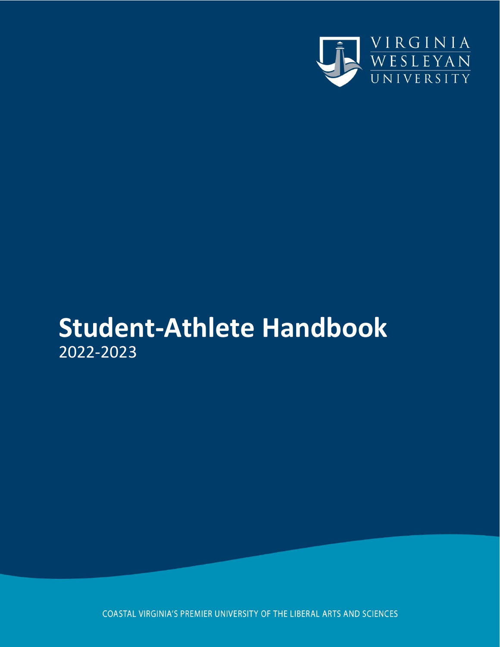

# **Student-Athlete Handbook** 2022-2023

COASTAL VIRGINIA'S PREMIER UNIVERSITY OF THE LIBERAL ARTS AND SCIENCES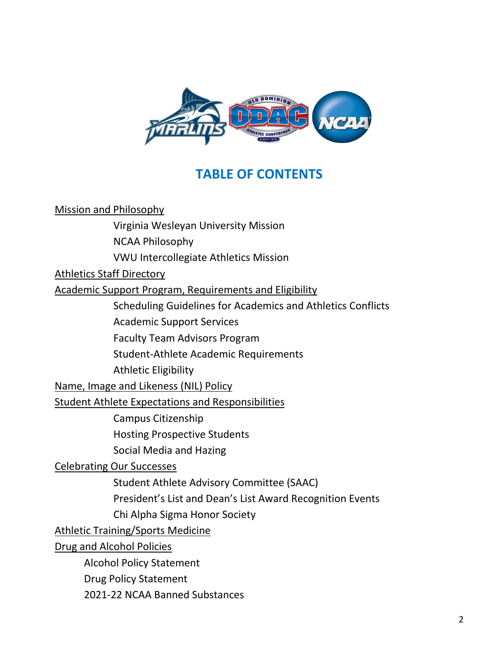

## **TABLE OF CONTENTS**

Mission and Philosophy Virginia Wesleyan University Mission NCAA Philosophy VWU Intercollegiate Athletics Mission [Athletics Staff Directory](#page-13-0) Academic Support Program, Requirements and Eligibility Scheduling Guidelines for Academics and Athletics Conflicts [Academic Support Services](#page-5-0) [Faculty Team Advisors](#page-6-0) Program [Student-Athlete Academic Requirements](#page-14-0) Athletic [Eligibility](#page-8-0)  [Name,](#page-13-0) Image and Likeness (NIL) Policy [Student Athlete Expectations and Responsibilities](#page-13-0) [Campus Citizenship](#page-13-0) Hosting Prospective Students [Social Media and Hazing](#page-14-0) [Celebrating Our Successes](#page-16-0) [Student Athlete Advisory Committee \(SAAC\)](#page-17-0) [President's List and Dean's List Award Recognition Events](#page-18-0) [Chi Alpha Sigma](#page-18-1) Honor Society [Athletic Training/Sports Medicine](#page-18-2) Drug and Alcohol Policies Alcohol Policy Statement Drug Policy Statement

2021-22 NCAA Banned Substances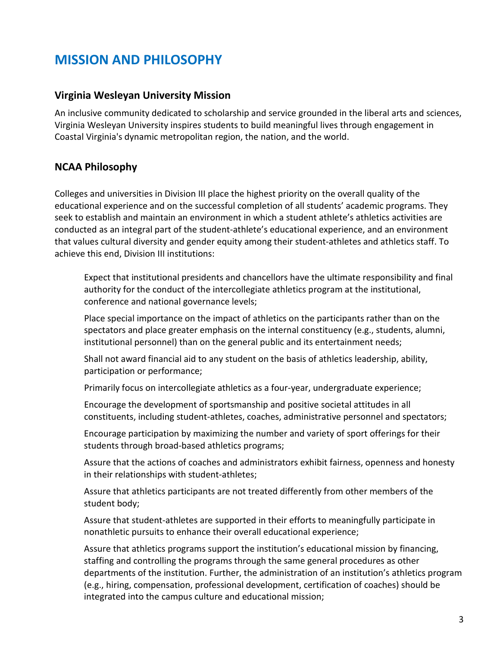## **MISSION AND PHILOSOPHY**

### **Virginia Wesleyan University Mission**

An inclusive community dedicated to scholarship and service grounded in the liberal arts and sciences, Virginia Wesleyan University inspires students to build meaningful lives through engagement in Coastal Virginia's dynamic metropolitan region, the nation, and the world.

### **NCAA Philosophy**

Colleges and universities in Division III place the highest priority on the overall quality of the educational experience and on the successful completion of all students' academic programs. They seek to establish and maintain an environment in which a student athlete's athletics activities are conducted as an integral part of the student-athlete's educational experience, and an environment that values cultural diversity and gender equity among their student-athletes and athletics staff. To achieve this end, Division III institutions:

Expect that institutional presidents and chancellors have the ultimate responsibility and final authority for the conduct of the intercollegiate athletics program at the institutional, conference and national governance levels;

Place special importance on the impact of athletics on the participants rather than on the spectators and place greater emphasis on the internal constituency (e.g., students, alumni, institutional personnel) than on the general public and its entertainment needs;

Shall not award financial aid to any student on the basis of athletics leadership, ability, participation or performance;

Primarily focus on intercollegiate athletics as a four-year, undergraduate experience;

Encourage the development of sportsmanship and positive societal attitudes in all constituents, including student-athletes, coaches, administrative personnel and spectators;

Encourage participation by maximizing the number and variety of sport offerings for their students through broad-based athletics programs;

Assure that the actions of coaches and administrators exhibit fairness, openness and honesty in their relationships with student-athletes;

Assure that athletics participants are not treated differently from other members of the student body;

Assure that student-athletes are supported in their efforts to meaningfully participate in nonathletic pursuits to enhance their overall educational experience;

Assure that athletics programs support the institution's educational mission by financing, staffing and controlling the programs through the same general procedures as other departments of the institution. Further, the administration of an institution's athletics program (e.g., hiring, compensation, professional development, certification of coaches) should be integrated into the campus culture and educational mission;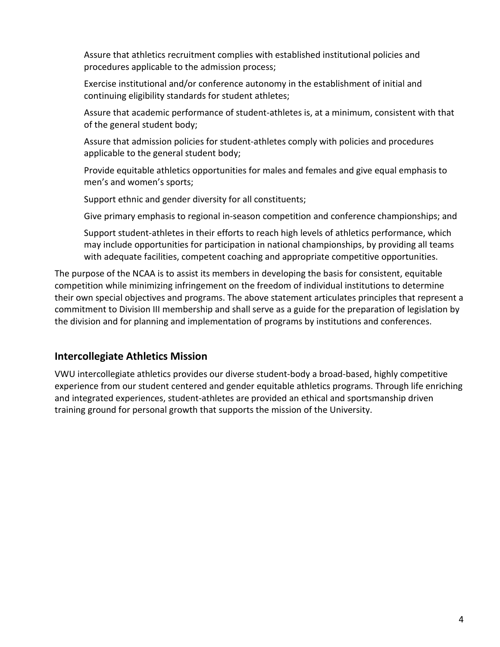Assure that athletics recruitment complies with established institutional policies and procedures applicable to the admission process;

Exercise institutional and/or conference autonomy in the establishment of initial and continuing eligibility standards for student athletes;

Assure that academic performance of student-athletes is, at a minimum, consistent with that of the general student body;

Assure that admission policies for student-athletes comply with policies and procedures applicable to the general student body;

Provide equitable athletics opportunities for males and females and give equal emphasis to men's and women's sports;

Support ethnic and gender diversity for all constituents;

Give primary emphasis to regional in-season competition and conference championships; and

Support student-athletes in their efforts to reach high levels of athletics performance, which may include opportunities for participation in national championships, by providing all teams with adequate facilities, competent coaching and appropriate competitive opportunities.

The purpose of the NCAA is to assist its members in developing the basis for consistent, equitable competition while minimizing infringement on the freedom of individual institutions to determine their own special objectives and programs. The above statement articulates principles that represent a commitment to Division III membership and shall serve as a guide for the preparation of legislation by the division and for planning and implementation of programs by institutions and conferences.

### **Intercollegiate Athletics Mission**

VWU intercollegiate athletics provides our diverse student-body a broad-based, highly competitive experience from our student centered and gender equitable athletics programs. Through life enriching and integrated experiences, student-athletes are provided an ethical and sportsmanship driven training ground for personal growth that supports the mission of the University.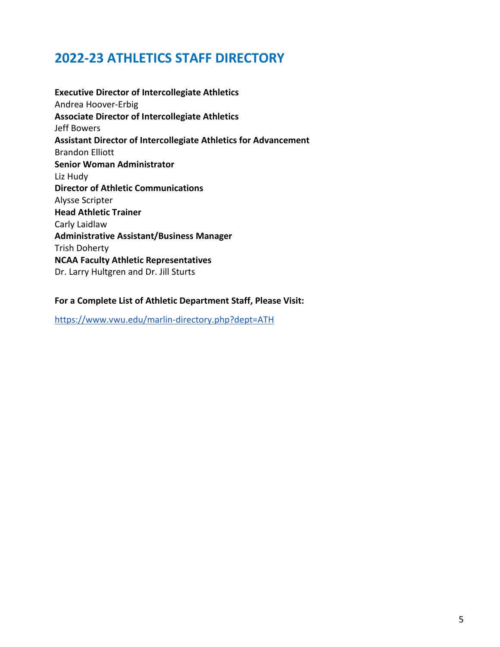## **2022-23 ATHLETICS STAFF DIRECTORY**

**Executive Director of Intercollegiate Athletics** Andrea Hoover-Erbig **Associate Director of Intercollegiate Athletics** Jeff Bowers **Assistant Director of Intercollegiate Athletics for Advancement** Brandon Elliott **Senior Woman Administrator** Liz Hudy **Director of Athletic Communications** Alysse Scripter **Head Athletic Trainer** Carly Laidlaw **Administrative Assistant/Business Manager**  Trish Doherty **NCAA Faculty Athletic Representatives** Dr. Larry Hultgren and Dr. Jill Sturts

#### **For a Complete List of Athletic Department Staff, Please Visit:**

<https://www.vwu.edu/marlin-directory.php?dept=ATH>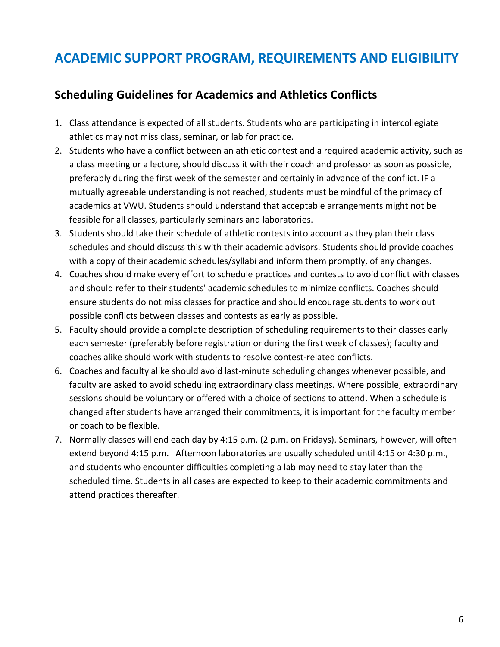## **ACADEMIC SUPPORT PROGRAM, REQUIREMENTS AND ELIGIBILITY**

### **Scheduling Guidelines for Academics and Athletics Conflicts**

- 1. Class attendance is expected of all students. Students who are participating in intercollegiate athletics may not miss class, seminar, or lab for practice.
- 2. Students who have a conflict between an athletic contest and a required academic activity, such as a class meeting or a lecture, should discuss it with their coach and professor as soon as possible, preferably during the first week of the semester and certainly in advance of the conflict. IF a mutually agreeable understanding is not reached, students must be mindful of the primacy of academics at VWU. Students should understand that acceptable arrangements might not be feasible for all classes, particularly seminars and laboratories.
- 3. Students should take their schedule of athletic contests into account as they plan their class schedules and should discuss this with their academic advisors. Students should provide coaches with a copy of their academic schedules/syllabi and inform them promptly, of any changes.
- 4. Coaches should make every effort to schedule practices and contests to avoid conflict with classes and should refer to their students' academic schedules to minimize conflicts. Coaches should ensure students do not miss classes for practice and should encourage students to work out possible conflicts between classes and contests as early as possible.
- 5. Faculty should provide a complete description of scheduling requirements to their classes early each semester (preferably before registration or during the first week of classes); faculty and coaches alike should work with students to resolve contest-related conflicts.
- 6. Coaches and faculty alike should avoid last-minute scheduling changes whenever possible, and faculty are asked to avoid scheduling extraordinary class meetings. Where possible, extraordinary sessions should be voluntary or offered with a choice of sections to attend. When a schedule is changed after students have arranged their commitments, it is important for the faculty member or coach to be flexible.
- <span id="page-5-0"></span>7. Normally classes will end each day by 4:15 p.m. (2 p.m. on Fridays). Seminars, however, will often extend beyond 4:15 p.m. Afternoon laboratories are usually scheduled until 4:15 or 4:30 p.m., and students who encounter difficulties completing a lab may need to stay later than the scheduled time. Students in all cases are expected to keep to their academic commitments and attend practices thereafter.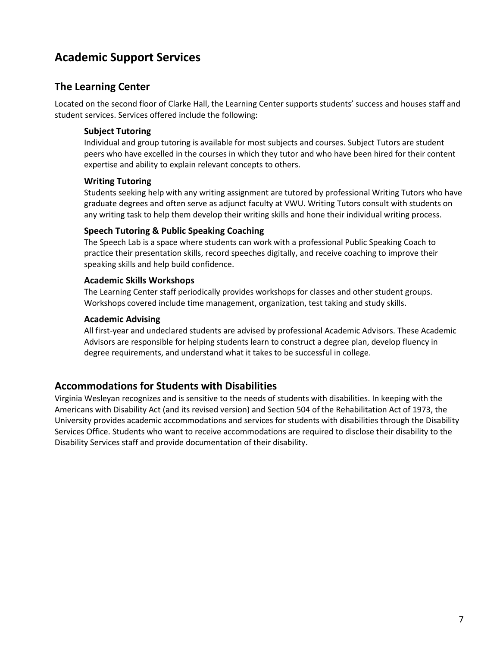### **Academic Support Services**

#### **The Learning Center**

Located on the second floor of Clarke Hall, the Learning Center supports students' success and houses staff and student services. Services offered include the following:

#### **Subject Tutoring**

Individual and group tutoring is available for most subjects and courses. Subject Tutors are student peers who have excelled in the courses in which they tutor and who have been hired for their content expertise and ability to explain relevant concepts to others.

#### **Writing Tutoring**

Students seeking help with any writing assignment are tutored by professional Writing Tutors who have graduate degrees and often serve as adjunct faculty at VWU. Writing Tutors consult with students on any writing task to help them develop their writing skills and hone their individual writing process.

#### **Speech Tutoring & Public Speaking Coaching**

The Speech Lab is a space where students can work with a professional Public Speaking Coach to practice their presentation skills, record speeches digitally, and receive coaching to improve their speaking skills and help build confidence.

#### **Academic Skills Workshops**

The Learning Center staff periodically provides workshops for classes and other student groups. Workshops covered include time management, organization, test taking and study skills.

#### **Academic Advising**

All first-year and undeclared students are advised by professional Academic Advisors. These Academic Advisors are responsible for helping students learn to construct a degree plan, develop fluency in degree requirements, and understand what it takes to be successful in college.

#### **Accommodations for Students with Disabilities**

<span id="page-6-0"></span>Virginia Wesleyan recognizes and is sensitive to the needs of students with disabilities. In keeping with the Americans with Disability Act (and its revised version) and Section 504 of the Rehabilitation Act of 1973, the University provides academic accommodations and services for students with disabilities through the Disability Services Office. Students who want to receive accommodations are required to disclose their disability to the Disability Services staff and provide documentation of their disability.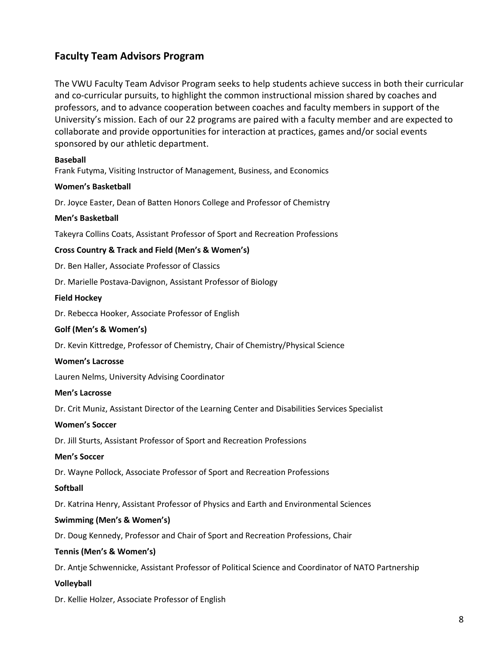### **Faculty Team Advisors Program**

The VWU Faculty Team Advisor Program seeks to help students achieve success in both their curricular and co-curricular pursuits, to highlight the common instructional mission shared by coaches and professors, and to advance cooperation between coaches and faculty members in support of the University's mission. Each of our 22 programs are paired with a faculty member and are expected to collaborate and provide opportunities for interaction at practices, games and/or social events sponsored by our athletic department.

#### **Baseball**

Frank Futyma, Visiting Instructor of Management, Business, and Economics

#### **Women's Basketball**

Dr. Joyce Easter, Dean of Batten Honors College and Professor of Chemistry

#### **Men's Basketball**

Takeyra Collins Coats, Assistant Professor of Sport and Recreation Professions

#### **Cross Country & Track and Field (Men's & Women's)**

Dr. Ben Haller, Associate Professor of Classics

Dr. Marielle Postava-Davignon, Assistant Professor of Biology

#### **Field Hockey**

Dr. Rebecca Hooker, Associate Professor of English

#### **Golf (Men's & Women's)**

Dr. Kevin Kittredge, Professor of Chemistry, Chair of Chemistry/Physical Science

#### **Women's Lacrosse**

Lauren Nelms, University Advising Coordinator

#### **Men's Lacrosse**

Dr. Crit Muniz, Assistant Director of the Learning Center and Disabilities Services Specialist

#### **Women's Soccer**

Dr. Jill Sturts, Assistant Professor of Sport and Recreation Professions

#### **Men's Soccer**

Dr. Wayne Pollock, Associate Professor of Sport and Recreation Professions

#### **Softball**

Dr. Katrina Henry, Assistant Professor of Physics and Earth and Environmental Sciences

#### **Swimming (Men's & Women's)**

Dr. Doug Kennedy, Professor and Chair of Sport and Recreation Professions, Chair

#### **Tennis (Men's & Women's)**

Dr. Antje Schwennicke, Assistant Professor of Political Science and Coordinator of NATO Partnership

#### **Volleyball**

Dr. Kellie Holzer, Associate Professor of English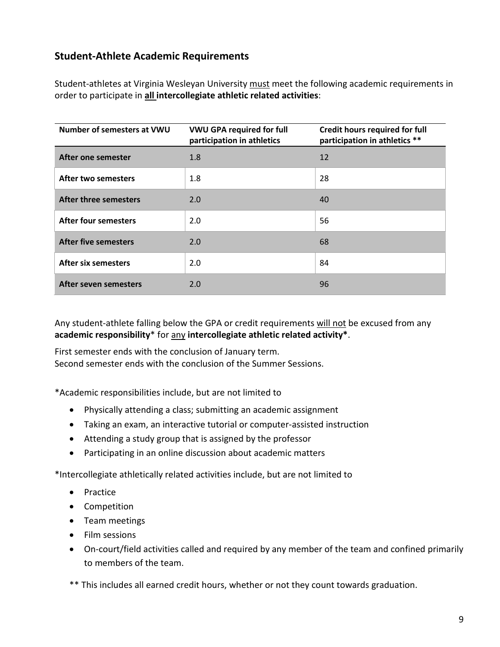### <span id="page-8-0"></span>**Student-Athlete Academic Requirements**

Student-athletes at Virginia Wesleyan University must meet the following academic requirements in order to participate in **all intercollegiate athletic related activities**:

| Number of semesters at VWU   | <b>VWU GPA required for full</b><br>participation in athletics | <b>Credit hours required for full</b><br>participation in athletics ** |
|------------------------------|----------------------------------------------------------------|------------------------------------------------------------------------|
| After one semester           | 1.8                                                            | 12                                                                     |
| <b>After two semesters</b>   | 1.8                                                            | 28                                                                     |
| <b>After three semesters</b> | 2.0                                                            | 40                                                                     |
| <b>After four semesters</b>  | 2.0                                                            | 56                                                                     |
| <b>After five semesters</b>  | 2.0                                                            | 68                                                                     |
| <b>After six semesters</b>   | 2.0                                                            | 84                                                                     |
| After seven semesters        | 2.0                                                            | 96                                                                     |

Any student-athlete falling below the GPA or credit requirements will not be excused from any **academic responsibility**\* for any **intercollegiate athletic related activity\***.

First semester ends with the conclusion of January term. Second semester ends with the conclusion of the Summer Sessions.

\*Academic responsibilities include, but are not limited to

- Physically attending a class; submitting an academic assignment
- Taking an exam, an interactive tutorial or computer-assisted instruction
- Attending a study group that is assigned by the professor
- Participating in an online discussion about academic matters

\*Intercollegiate athletically related activities include, but are not limited to

- Practice
- Competition
- Team meetings
- Film sessions
- On-court/field activities called and required by any member of the team and confined primarily to members of the team.

\*\* This includes all earned credit hours, whether or not they count towards graduation.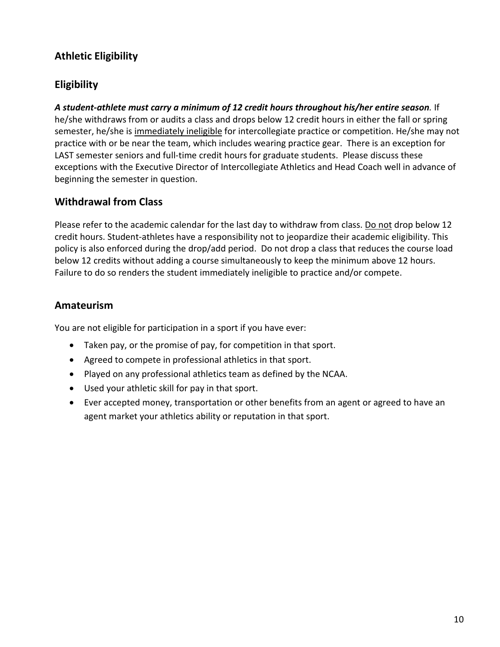### **Athletic Eligibility**

### **Eligibility**

*A student-athlete must carry a minimum of 12 credit hours throughout his/her entire season.* If he/she withdraws from or audits a class and drops below 12 credit hours in either the fall or spring semester, he/she is immediately ineligible for intercollegiate practice or competition. He/she may not practice with or be near the team, which includes wearing practice gear. There is an exception for LAST semester seniors and full-time credit hours for graduate students. Please discuss these exceptions with the Executive Director of Intercollegiate Athletics and Head Coach well in advance of beginning the semester in question.

### **Withdrawal from Class**

Please refer to the academic calendar for the last day to withdraw from class. Do not drop below 12 credit hours. Student-athletes have a responsibility not to jeopardize their academic eligibility. This policy is also enforced during the drop/add period. Do not drop a class that reduces the course load below 12 credits without adding a course simultaneously to keep the minimum above 12 hours. Failure to do so renders the student immediately ineligible to practice and/or compete.

### **Amateurism**

You are not eligible for participation in a sport if you have ever:

- Taken pay, or the promise of pay, for competition in that sport.
- Agreed to compete in professional athletics in that sport.
- Played on any professional athletics team as defined by the NCAA.
- Used your athletic skill for pay in that sport.
- Ever accepted money, transportation or other benefits from an agent or agreed to have an agent market your athletics ability or reputation in that sport.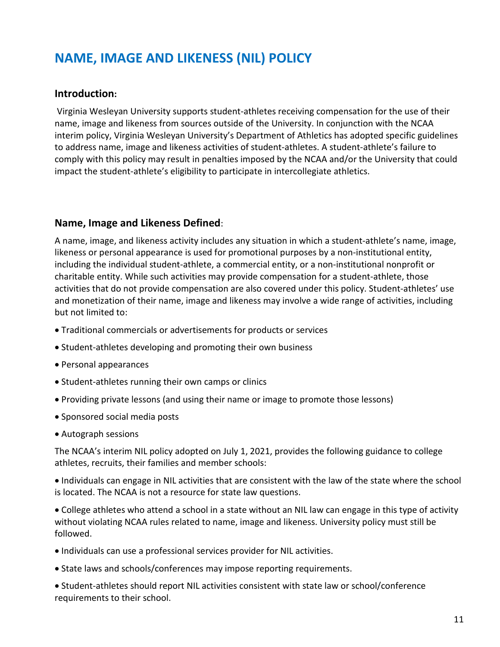## **NAME, IMAGE AND LIKENESS (NIL) POLICY**

#### **Introduction:**

Virginia Wesleyan University supports student-athletes receiving compensation for the use of their name, image and likeness from sources outside of the University. In conjunction with the NCAA interim policy, Virginia Wesleyan University's Department of Athletics has adopted specific guidelines to address name, image and likeness activities of student-athletes. A student-athlete's failure to comply with this policy may result in penalties imposed by the NCAA and/or the University that could impact the student-athlete's eligibility to participate in intercollegiate athletics.

#### **Name, Image and Likeness Defined**:

A name, image, and likeness activity includes any situation in which a student-athlete's name, image, likeness or personal appearance is used for promotional purposes by a non-institutional entity, including the individual student-athlete, a commercial entity, or a non-institutional nonprofit or charitable entity. While such activities may provide compensation for a student-athlete, those activities that do not provide compensation are also covered under this policy. Student-athletes' use and monetization of their name, image and likeness may involve a wide range of activities, including but not limited to:

- Traditional commercials or advertisements for products or services
- Student-athletes developing and promoting their own business
- Personal appearances
- Student-athletes running their own camps or clinics
- Providing private lessons (and using their name or image to promote those lessons)
- Sponsored social media posts
- Autograph sessions

The NCAA's interim NIL policy adopted on July 1, 2021, provides the following guidance to college athletes, recruits, their families and member schools:

• Individuals can engage in NIL activities that are consistent with the law of the state where the school is located. The NCAA is not a resource for state law questions.

• College athletes who attend a school in a state without an NIL law can engage in this type of activity without violating NCAA rules related to name, image and likeness. University policy must still be followed.

- Individuals can use a professional services provider for NIL activities.
- State laws and schools/conferences may impose reporting requirements.

• Student-athletes should report NIL activities consistent with state law or school/conference requirements to their school.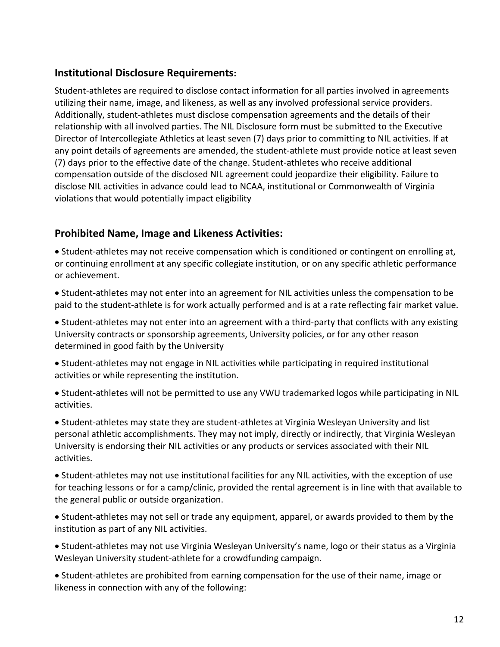### **Institutional Disclosure Requirements:**

Student-athletes are required to disclose contact information for all parties involved in agreements utilizing their name, image, and likeness, as well as any involved professional service providers. Additionally, student-athletes must disclose compensation agreements and the details of their relationship with all involved parties. The NIL Disclosure form must be submitted to the Executive Director of Intercollegiate Athletics at least seven (7) days prior to committing to NIL activities. If at any point details of agreements are amended, the student-athlete must provide notice at least seven (7) days prior to the effective date of the change. Student-athletes who receive additional compensation outside of the disclosed NIL agreement could jeopardize their eligibility. Failure to disclose NIL activities in advance could lead to NCAA, institutional or Commonwealth of Virginia violations that would potentially impact eligibility

### **Prohibited Name, Image and Likeness Activities:**

• Student-athletes may not receive compensation which is conditioned or contingent on enrolling at, or continuing enrollment at any specific collegiate institution, or on any specific athletic performance or achievement.

• Student-athletes may not enter into an agreement for NIL activities unless the compensation to be paid to the student-athlete is for work actually performed and is at a rate reflecting fair market value.

• Student-athletes may not enter into an agreement with a third-party that conflicts with any existing University contracts or sponsorship agreements, University policies, or for any other reason determined in good faith by the University

• Student-athletes may not engage in NIL activities while participating in required institutional activities or while representing the institution.

• Student-athletes will not be permitted to use any VWU trademarked logos while participating in NIL activities.

• Student-athletes may state they are student-athletes at Virginia Wesleyan University and list personal athletic accomplishments. They may not imply, directly or indirectly, that Virginia Wesleyan University is endorsing their NIL activities or any products or services associated with their NIL activities.

• Student-athletes may not use institutional facilities for any NIL activities, with the exception of use for teaching lessons or for a camp/clinic, provided the rental agreement is in line with that available to the general public or outside organization.

• Student-athletes may not sell or trade any equipment, apparel, or awards provided to them by the institution as part of any NIL activities.

• Student-athletes may not use Virginia Wesleyan University's name, logo or their status as a Virginia Wesleyan University student-athlete for a crowdfunding campaign.

• Student-athletes are prohibited from earning compensation for the use of their name, image or likeness in connection with any of the following: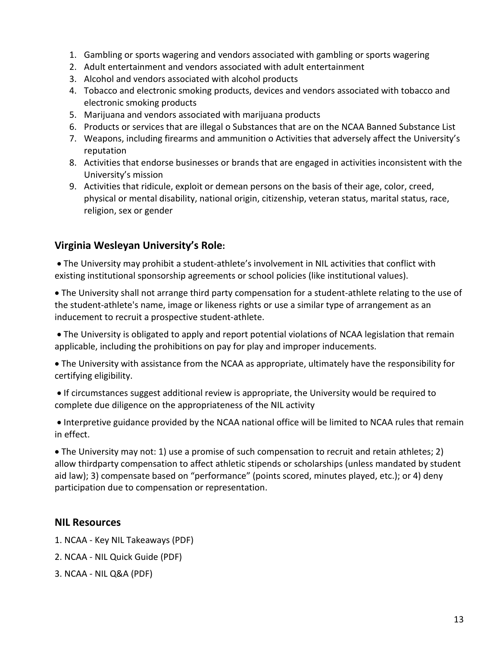- 1. Gambling or sports wagering and vendors associated with gambling or sports wagering
- 2. Adult entertainment and vendors associated with adult entertainment
- 3. Alcohol and vendors associated with alcohol products
- 4. Tobacco and electronic smoking products, devices and vendors associated with tobacco and electronic smoking products
- 5. Marijuana and vendors associated with marijuana products
- 6. Products or services that are illegal o Substances that are on the NCAA Banned Substance List
- 7. Weapons, including firearms and ammunition o Activities that adversely affect the University's reputation
- 8. Activities that endorse businesses or brands that are engaged in activities inconsistent with the University's mission
- 9. Activities that ridicule, exploit or demean persons on the basis of their age, color, creed, physical or mental disability, national origin, citizenship, veteran status, marital status, race, religion, sex or gender

### **Virginia Wesleyan University's Role:**

• The University may prohibit a student-athlete's involvement in NIL activities that conflict with existing institutional sponsorship agreements or school policies (like institutional values).

• The University shall not arrange third party compensation for a student-athlete relating to the use of the student-athlete's name, image or likeness rights or use a similar type of arrangement as an inducement to recruit a prospective student-athlete.

• The University is obligated to apply and report potential violations of NCAA legislation that remain applicable, including the prohibitions on pay for play and improper inducements.

• The University with assistance from the NCAA as appropriate, ultimately have the responsibility for certifying eligibility.

• If circumstances suggest additional review is appropriate, the University would be required to complete due diligence on the appropriateness of the NIL activity

• Interpretive guidance provided by the NCAA national office will be limited to NCAA rules that remain in effect.

• The University may not: 1) use a promise of such compensation to recruit and retain athletes; 2) allow thirdparty compensation to affect athletic stipends or scholarships (unless mandated by student aid law); 3) compensate based on "performance" (points scored, minutes played, etc.); or 4) deny participation due to compensation or representation.

### **NIL Resources**

- 1. NCAA Key NIL Takeaways (PDF)
- 2. NCAA NIL Quick Guide (PDF)
- 3. NCAA NIL Q&A (PDF)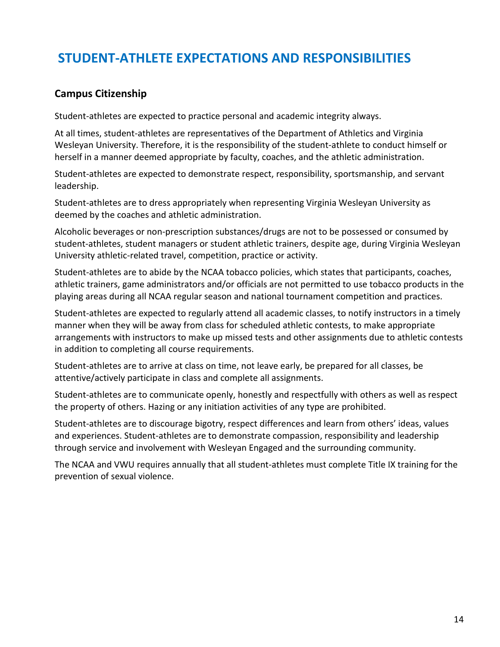## **STUDENT-ATHLETE EXPECTATIONS AND RESPONSIBILITIES**

### **Campus Citizenship**

Student-athletes are expected to practice personal and academic integrity always.

At all times, student-athletes are representatives of the Department of Athletics and Virginia Wesleyan University. Therefore, it is the responsibility of the student-athlete to conduct himself or herself in a manner deemed appropriate by faculty, coaches, and the athletic administration.

Student-athletes are expected to demonstrate respect, responsibility, sportsmanship, and servant leadership.

Student-athletes are to dress appropriately when representing Virginia Wesleyan University as deemed by the coaches and athletic administration.

Alcoholic beverages or non-prescription substances/drugs are not to be possessed or consumed by student-athletes, student managers or student athletic trainers, despite age, during Virginia Wesleyan University athletic-related travel, competition, practice or activity.

Student-athletes are to abide by the NCAA tobacco policies, which states that participants, coaches, athletic trainers, game administrators and/or officials are not permitted to use tobacco products in the playing areas during all NCAA regular season and national tournament competition and practices.

Student-athletes are expected to regularly attend all academic classes, to notify instructors in a timely manner when they will be away from class for scheduled athletic contests, to make appropriate arrangements with instructors to make up missed tests and other assignments due to athletic contests in addition to completing all course requirements.

Student-athletes are to arrive at class on time, not leave early, be prepared for all classes, be attentive/actively participate in class and complete all assignments.

Student-athletes are to communicate openly, honestly and respectfully with others as well as respect the property of others. Hazing or any initiation activities of any type are prohibited.

Student-athletes are to discourage bigotry, respect differences and learn from others' ideas, values and experiences. Student-athletes are to demonstrate compassion, responsibility and leadership through service and involvement with Wesleyan Engaged and the surrounding community.

<span id="page-13-0"></span>The NCAA and VWU requires annually that all student-athletes must complete Title IX training for the prevention of sexual violence.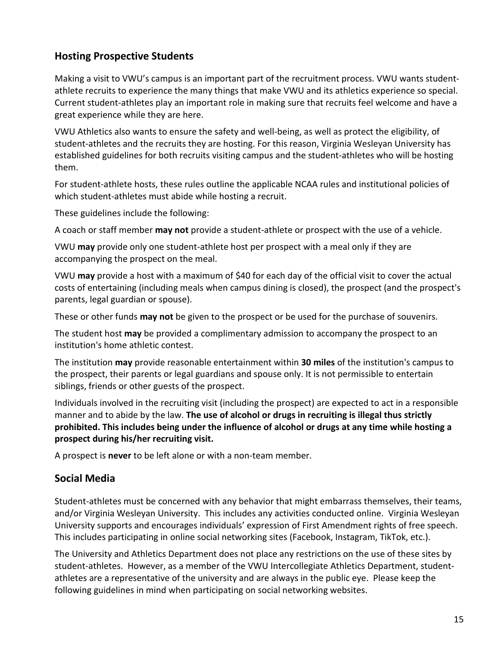### **Hosting Prospective Students**

Making a visit to VWU's campus is an important part of the recruitment process. VWU wants studentathlete recruits to experience the many things that make VWU and its athletics experience so special. Current student-athletes play an important role in making sure that recruits feel welcome and have a great experience while they are here.

VWU Athletics also wants to ensure the safety and well-being, as well as protect the eligibility, of student-athletes and the recruits they are hosting. For this reason, Virginia Wesleyan University has established guidelines for both recruits visiting campus and the student-athletes who will be hosting them.

For student-athlete hosts, these rules outline the applicable NCAA rules and institutional policies of which student-athletes must abide while hosting a recruit.

These guidelines include the following:

A coach or staff member **may not** provide a student-athlete or prospect with the use of a vehicle.

VWU **may** provide only one student-athlete host per prospect with a meal only if they are accompanying the prospect on the meal.

VWU **may** provide a host with a maximum of \$40 for each day of the official visit to cover the actual costs of entertaining (including meals when campus dining is closed), the prospect (and the prospect's parents, legal guardian or spouse).

These or other funds **may not** be given to the prospect or be used for the purchase of souvenirs.

The student host **may** be provided a complimentary admission to accompany the prospect to an institution's home athletic contest.

The institution **may** provide reasonable entertainment within **30 miles** of the institution's campus to the prospect, their parents or legal guardians and spouse only. It is not permissible to entertain siblings, friends or other guests of the prospect.

Individuals involved in the recruiting visit (including the prospect) are expected to act in a responsible manner and to abide by the law. **The use of alcohol or drugs in recruiting is illegal thus strictly prohibited. This includes being under the influence of alcohol or drugs at any time while hosting a prospect during his/her recruiting visit.**

A prospect is **never** to be left alone or with a non-team member.

### <span id="page-14-0"></span>**Social Media**

Student-athletes must be concerned with any behavior that might embarrass themselves, their teams, and/or Virginia Wesleyan University. This includes any activities conducted online. Virginia Wesleyan University supports and encourages individuals' expression of First Amendment rights of free speech. This includes participating in online social networking sites (Facebook, Instagram, TikTok, etc.).

The University and Athletics Department does not place any restrictions on the use of these sites by student-athletes. However, as a member of the VWU Intercollegiate Athletics Department, studentathletes are a representative of the university and are always in the public eye. Please keep the following guidelines in mind when participating on social networking websites.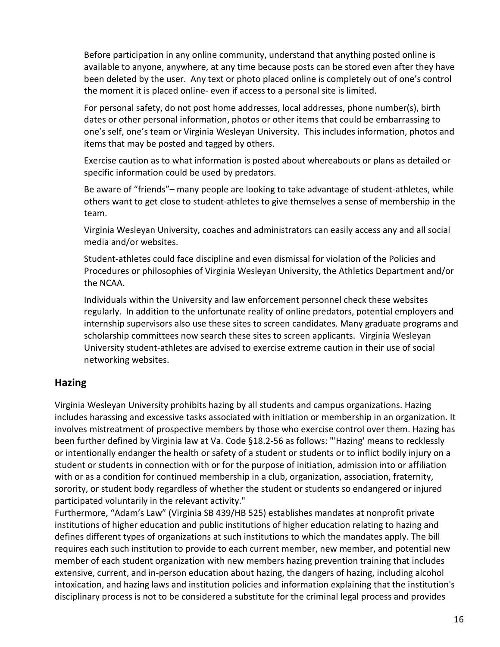Before participation in any online community, understand that anything posted online is available to anyone, anywhere, at any time because posts can be stored even after they have been deleted by the user. Any text or photo placed online is completely out of one's control the moment it is placed online- even if access to a personal site is limited.

For personal safety, do not post home addresses, local addresses, phone number(s), birth dates or other personal information, photos or other items that could be embarrassing to one's self, one's team or Virginia Wesleyan University. This includes information, photos and items that may be posted and tagged by others.

Exercise caution as to what information is posted about whereabouts or plans as detailed or specific information could be used by predators.

Be aware of "friends"– many people are looking to take advantage of student-athletes, while others want to get close to student-athletes to give themselves a sense of membership in the team.

Virginia Wesleyan University, coaches and administrators can easily access any and all social media and/or websites.

Student-athletes could face discipline and even dismissal for violation of the Policies and Procedures or philosophies of Virginia Wesleyan University, the Athletics Department and/or the NCAA.

Individuals within the University and law enforcement personnel check these websites regularly. In addition to the unfortunate reality of online predators, potential employers and internship supervisors also use these sites to screen candidates. Many graduate programs and scholarship committees now search these sites to screen applicants. Virginia Wesleyan University student-athletes are advised to exercise extreme caution in their use of social networking websites.

### **Hazing**

Virginia Wesleyan University prohibits hazing by all students and campus organizations. Hazing includes harassing and excessive tasks associated with initiation or membership in an organization. It involves mistreatment of prospective members by those who exercise control over them. Hazing has been further defined by Virginia law at Va. Code §18.2-56 as follows: "'Hazing' means to recklessly or intentionally endanger the health or safety of a student or students or to inflict bodily injury on a student or students in connection with or for the purpose of initiation, admission into or affiliation with or as a condition for continued membership in a club, organization, association, fraternity, sorority, or student body regardless of whether the student or students so endangered or injured participated voluntarily in the relevant activity."

Furthermore, "Adam's Law" (Virginia SB 439/HB 525) establishes mandates at nonprofit private institutions of higher education and public institutions of higher education relating to hazing and defines different types of organizations at such institutions to which the mandates apply. The bill requires each such institution to provide to each current member, new member, and potential new member of each student organization with new members hazing prevention training that includes extensive, current, and in-person education about hazing, the dangers of hazing, including alcohol intoxication, and hazing laws and institution policies and information explaining that the institution's disciplinary process is not to be considered a substitute for the criminal legal process and provides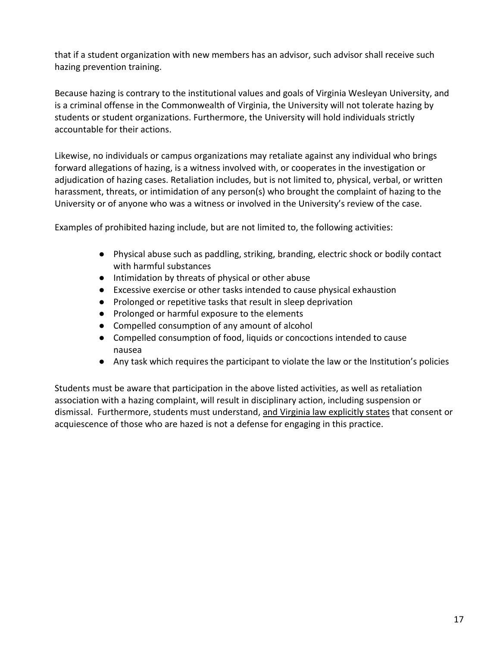that if a student organization with new members has an advisor, such advisor shall receive such hazing prevention training.

Because hazing is contrary to the institutional values and goals of Virginia Wesleyan University, and is a criminal offense in the Commonwealth of Virginia, the University will not tolerate hazing by students or student organizations. Furthermore, the University will hold individuals strictly accountable for their actions.

Likewise, no individuals or campus organizations may retaliate against any individual who brings forward allegations of hazing, is a witness involved with, or cooperates in the investigation or adjudication of hazing cases. Retaliation includes, but is not limited to, physical, verbal, or written harassment, threats, or intimidation of any person(s) who brought the complaint of hazing to the University or of anyone who was a witness or involved in the University's review of the case.

Examples of prohibited hazing include, but are not limited to, the following activities:

- Physical abuse such as paddling, striking, branding, electric shock or bodily contact with harmful substances
- Intimidation by threats of physical or other abuse
- Excessive exercise or other tasks intended to cause physical exhaustion
- Prolonged or repetitive tasks that result in sleep deprivation
- Prolonged or harmful exposure to the elements
- Compelled consumption of any amount of alcohol
- Compelled consumption of food, liquids or concoctions intended to cause nausea
- Any task which requires the participant to violate the law or the Institution's policies

<span id="page-16-0"></span>Students must be aware that participation in the above listed activities, as well as retaliation association with a hazing complaint, will result in disciplinary action, including suspension or dismissal. Furthermore, students must understand, and Virginia law explicitly states that consent or acquiescence of those who are hazed is not a defense for engaging in this practice.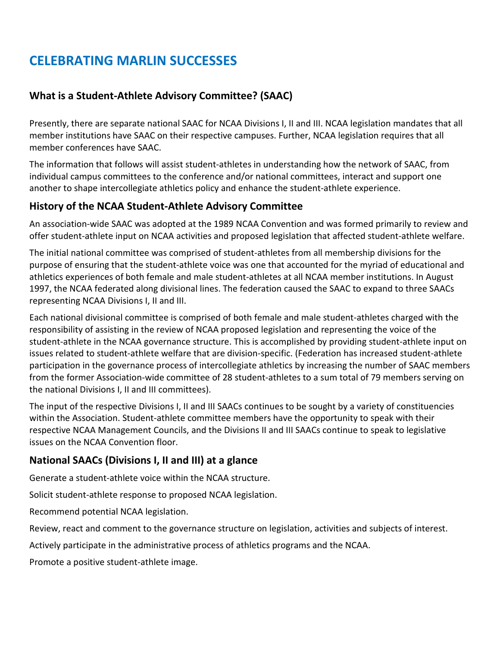## **CELEBRATING MARLIN SUCCESSES**

### <span id="page-17-0"></span>**What is a Student-Athlete Advisory Committee? (SAAC)**

Presently, there are separate national SAAC for NCAA Divisions I, II and III. NCAA legislation mandates that all member institutions have SAAC on their respective campuses. Further, NCAA legislation requires that all member conferences have SAAC.

The information that follows will assist student-athletes in understanding how the network of SAAC, from individual campus committees to the conference and/or national committees, interact and support one another to shape intercollegiate athletics policy and enhance the student-athlete experience.

### **History of the NCAA Student-Athlete Advisory Committee**

An association-wide SAAC was adopted at the 1989 NCAA Convention and was formed primarily to review and offer student-athlete input on NCAA activities and proposed legislation that affected student-athlete welfare.

The initial national committee was comprised of student-athletes from all membership divisions for the purpose of ensuring that the student-athlete voice was one that accounted for the myriad of educational and athletics experiences of both female and male student-athletes at all NCAA member institutions. In August 1997, the NCAA federated along divisional lines. The federation caused the SAAC to expand to three SAACs representing NCAA Divisions I, II and III.

Each national divisional committee is comprised of both female and male student-athletes charged with the responsibility of assisting in the review of NCAA proposed legislation and representing the voice of the student-athlete in the NCAA governance structure. This is accomplished by providing student-athlete input on issues related to student-athlete welfare that are division-specific. (Federation has increased student-athlete participation in the governance process of intercollegiate athletics by increasing the number of SAAC members from the former Association-wide committee of 28 student-athletes to a sum total of 79 members serving on the national Divisions I, II and III committees).

The input of the respective Divisions I, II and III SAACs continues to be sought by a variety of constituencies within the Association. Student-athlete committee members have the opportunity to speak with their respective NCAA Management Councils, and the Divisions II and III SAACs continue to speak to legislative issues on the NCAA Convention floor.

### **National SAACs (Divisions I, II and III) at a glance**

Generate a student-athlete voice within the NCAA structure.

Solicit student-athlete response to proposed NCAA legislation.

Recommend potential NCAA legislation.

Review, react and comment to the governance structure on legislation, activities and subjects of interest.

Actively participate in the administrative process of athletics programs and the NCAA.

Promote a positive student-athlete image.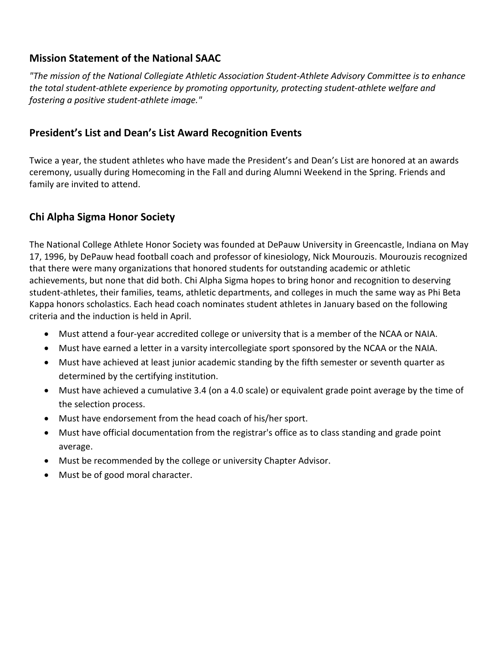### **Mission Statement of the National SAAC**

*"The mission of the National Collegiate Athletic Association Student-Athlete Advisory Committee is to enhance the total student-athlete experience by promoting opportunity, protecting student-athlete welfare and fostering a positive student-athlete image."* 

### <span id="page-18-0"></span>**President's List and Dean's List Award Recognition Events**

Twice a year, the student athletes who have made the President's and Dean's List are honored at an awards ceremony, usually during Homecoming in the Fall and during Alumni Weekend in the Spring. Friends and family are invited to attend.

### <span id="page-18-1"></span>**Chi Alpha Sigma Honor Society**

The National College Athlete Honor Society was founded at DePauw University in Greencastle, Indiana on May 17, 1996, by DePauw head football coach and professor of kinesiology, Nick Mourouzis. Mourouzis recognized that there were many organizations that honored students for outstanding academic or athletic achievements, but none that did both. Chi Alpha Sigma hopes to bring honor and recognition to deserving student-athletes, their families, teams, athletic departments, and colleges in much the same way as Phi Beta Kappa honors scholastics. Each head coach nominates student athletes in January based on the following criteria and the induction is held in April.

- Must attend a four-year accredited college or university that is a member of the NCAA or NAIA.
- Must have earned a letter in a varsity intercollegiate sport sponsored by the NCAA or the NAIA.
- Must have achieved at least junior academic standing by the fifth semester or seventh quarter as determined by the certifying institution.
- Must have achieved a cumulative 3.4 (on a 4.0 scale) or equivalent grade point average by the time of the selection process.
- Must have endorsement from the head coach of his/her sport.
- Must have official documentation from the registrar's office as to class standing and grade point average.
- Must be recommended by the college or university Chapter Advisor.
- <span id="page-18-2"></span>• Must be of good moral character.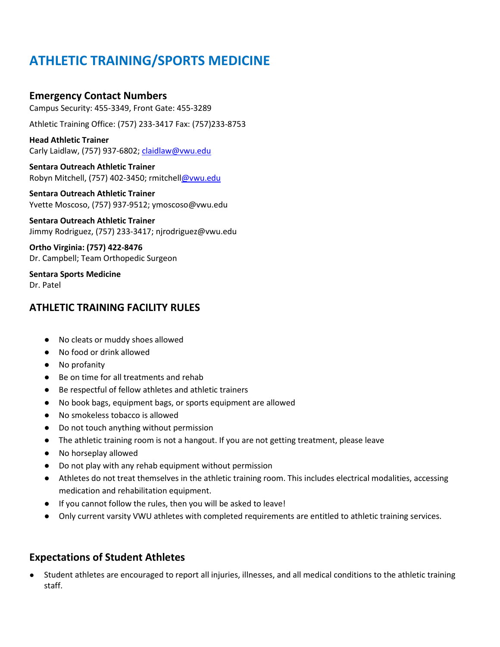## **ATHLETIC TRAINING/SPORTS MEDICINE**

#### **Emergency Contact Numbers**

Campus Security: 455-3349, Front Gate: 455-3289

Athletic Training Office: (757) 233-3417 Fax: (757)233-8753

#### **Head Athletic Trainer** Carly Laidlaw, (757) 937-6802; [claidlaw@vwu.edu](mailto:claidlaw@vwu.edu)

**Sentara Outreach Athletic Trainer** Robyn Mitchell, (757) 402-3450; rmitchel[l@vwu.edu](mailto:khinton@vwu.edu)

#### **Sentara Outreach Athletic Trainer** Yvette Moscoso, (757) 937-9512; ymoscoso@vwu.edu

**Sentara Outreach Athletic Trainer** Jimmy Rodriguez, (757) 233-3417; njrodriguez@vwu.edu

**Ortho Virginia: (757) 422-8476** Dr. Campbell; Team Orthopedic Surgeon

**Sentara Sports Medicine** Dr. Patel

### **ATHLETIC TRAINING FACILITY RULES**

- No cleats or muddy shoes allowed
- No food or drink allowed
- No profanity
- Be on time for all treatments and rehab
- Be respectful of fellow athletes and athletic trainers
- No book bags, equipment bags, or sports equipment are allowed
- No smokeless tobacco is allowed
- Do not touch anything without permission
- The athletic training room is not a hangout. If you are not getting treatment, please leave
- No horseplay allowed
- Do not play with any rehab equipment without permission
- Athletes do not treat themselves in the athletic training room. This includes electrical modalities, accessing medication and rehabilitation equipment.
- If you cannot follow the rules, then you will be asked to leave!
- Only current varsity VWU athletes with completed requirements are entitled to athletic training services.

### **Expectations of Student Athletes**

● Student athletes are encouraged to report all injuries, illnesses, and all medical conditions to the athletic training staff.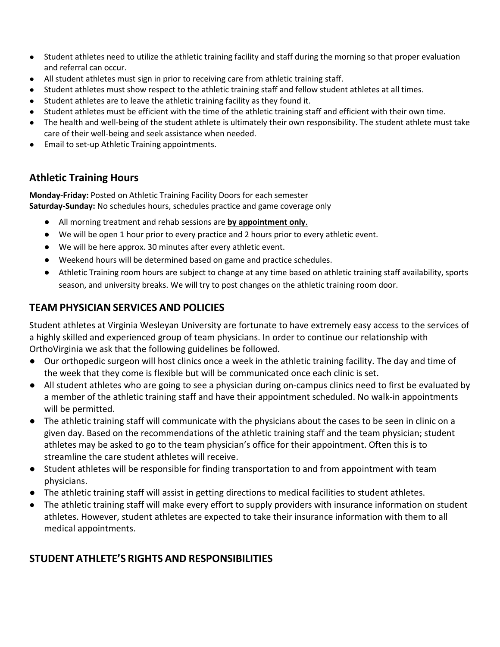- Student athletes need to utilize the athletic training facility and staff during the morning so that proper evaluation and referral can occur.
- All student athletes must sign in prior to receiving care from athletic training staff.
- Student athletes must show respect to the athletic training staff and fellow student athletes at all times.
- Student athletes are to leave the athletic training facility as they found it.
- Student athletes must be efficient with the time of the athletic training staff and efficient with their own time.
- The health and well-being of the student athlete is ultimately their own responsibility. The student athlete must take care of their well-being and seek assistance when needed.
- Email to set-up Athletic Training appointments.

### **Athletic Training Hours**

**Monday-Friday:** Posted on Athletic Training Facility Doors for each semester **Saturday-Sunday:** No schedules hours, schedules practice and game coverage only

- All morning treatment and rehab sessions are **by appointment only**.
- We will be open 1 hour prior to every practice and 2 hours prior to every athletic event.
- We will be here approx. 30 minutes after every athletic event.
- Weekend hours will be determined based on game and practice schedules.
- Athletic Training room hours are subject to change at any time based on athletic training staff availability, sports season, and university breaks. We will try to post changes on the athletic training room door.

### **TEAM PHYSICIAN SERVICES AND POLICIES**

Student athletes at Virginia Wesleyan University are fortunate to have extremely easy access to the services of a highly skilled and experienced group of team physicians. In order to continue our relationship with OrthoVirginia we ask that the following guidelines be followed.

- Our orthopedic surgeon will host clinics once a week in the athletic training facility. The day and time of the week that they come is flexible but will be communicated once each clinic is set.
- All student athletes who are going to see a physician during on-campus clinics need to first be evaluated by a member of the athletic training staff and have their appointment scheduled. No walk-in appointments will be permitted.
- The athletic training staff will communicate with the physicians about the cases to be seen in clinic on a given day. Based on the recommendations of the athletic training staff and the team physician; student athletes may be asked to go to the team physician's office for their appointment. Often this is to streamline the care student athletes will receive.
- Student athletes will be responsible for finding transportation to and from appointment with team physicians.
- The athletic training staff will assist in getting directions to medical facilities to student athletes.
- The athletic training staff will make every effort to supply providers with insurance information on student athletes. However, student athletes are expected to take their insurance information with them to all medical appointments.

### **STUDENT ATHLETE'S RIGHTS AND RESPONSIBILITIES**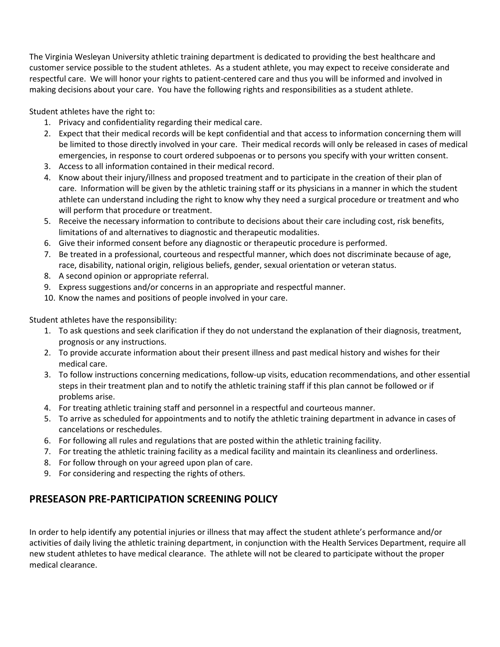The Virginia Wesleyan University athletic training department is dedicated to providing the best healthcare and customer service possible to the student athletes. As a student athlete, you may expect to receive considerate and respectful care. We will honor your rights to patient-centered care and thus you will be informed and involved in making decisions about your care. You have the following rights and responsibilities as a student athlete.

Student athletes have the right to:

- 1. Privacy and confidentiality regarding their medical care.
- 2. Expect that their medical records will be kept confidential and that access to information concerning them will be limited to those directly involved in your care. Their medical records will only be released in cases of medical emergencies, in response to court ordered subpoenas or to persons you specify with your written consent.
- 3. Access to all information contained in their medical record.
- 4. Know about their injury/illness and proposed treatment and to participate in the creation of their plan of care. Information will be given by the athletic training staff or its physicians in a manner in which the student athlete can understand including the right to know why they need a surgical procedure or treatment and who will perform that procedure or treatment.
- 5. Receive the necessary information to contribute to decisions about their care including cost, risk benefits, limitations of and alternatives to diagnostic and therapeutic modalities.
- 6. Give their informed consent before any diagnostic or therapeutic procedure is performed.
- 7. Be treated in a professional, courteous and respectful manner, which does not discriminate because of age, race, disability, national origin, religious beliefs, gender, sexual orientation or veteran status.
- 8. A second opinion or appropriate referral.
- 9. Express suggestions and/or concerns in an appropriate and respectful manner.
- 10. Know the names and positions of people involved in your care.

Student athletes have the responsibility:

- 1. To ask questions and seek clarification if they do not understand the explanation of their diagnosis, treatment, prognosis or any instructions.
- 2. To provide accurate information about their present illness and past medical history and wishes for their medical care.
- 3. To follow instructions concerning medications, follow-up visits, education recommendations, and other essential steps in their treatment plan and to notify the athletic training staff if this plan cannot be followed or if problems arise.
- 4. For treating athletic training staff and personnel in a respectful and courteous manner.
- 5. To arrive as scheduled for appointments and to notify the athletic training department in advance in cases of cancelations or reschedules.
- 6. For following all rules and regulations that are posted within the athletic training facility.
- 7. For treating the athletic training facility as a medical facility and maintain its cleanliness and orderliness.
- 8. For follow through on your agreed upon plan of care.
- 9. For considering and respecting the rights of others.

### **PRESEASON PRE-PARTICIPATION SCREENING POLICY**

In order to help identify any potential injuries or illness that may affect the student athlete's performance and/or activities of daily living the athletic training department, in conjunction with the Health Services Department, require all new student athletes to have medical clearance. The athlete will not be cleared to participate without the proper medical clearance.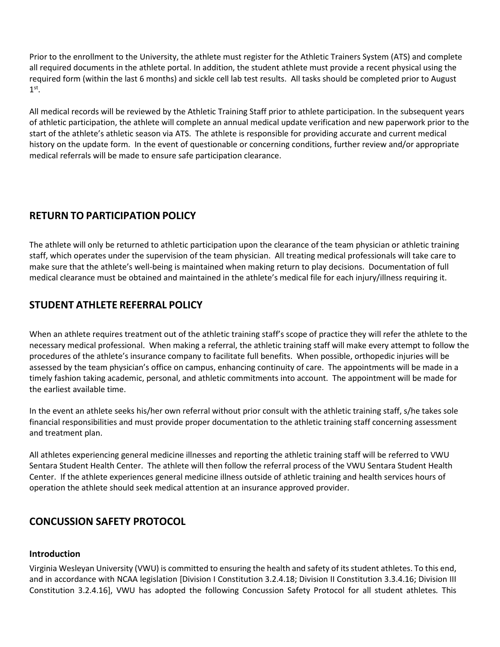Prior to the enrollment to the University, the athlete must register for the Athletic Trainers System (ATS) and complete all required documents in the athlete portal. In addition, the student athlete must provide a recent physical using the required form (within the last 6 months) and sickle cell lab test results. All tasks should be completed prior to August  $1<sup>st</sup>$ .

All medical records will be reviewed by the Athletic Training Staff prior to athlete participation. In the subsequent years of athletic participation, the athlete will complete an annual medical update verification and new paperwork prior to the start of the athlete's athletic season via ATS. The athlete is responsible for providing accurate and current medical history on the update form. In the event of questionable or concerning conditions, further review and/or appropriate medical referrals will be made to ensure safe participation clearance.

### **RETURN TO PARTICIPATION POLICY**

The athlete will only be returned to athletic participation upon the clearance of the team physician or athletic training staff, which operates under the supervision of the team physician. All treating medical professionals will take care to make sure that the athlete's well-being is maintained when making return to play decisions. Documentation of full medical clearance must be obtained and maintained in the athlete's medical file for each injury/illness requiring it.

### **STUDENT ATHLETE REFERRAL POLICY**

When an athlete requires treatment out of the athletic training staff's scope of practice they will refer the athlete to the necessary medical professional. When making a referral, the athletic training staff will make every attempt to follow the procedures of the athlete's insurance company to facilitate full benefits. When possible, orthopedic injuries will be assessed by the team physician's office on campus, enhancing continuity of care. The appointments will be made in a timely fashion taking academic, personal, and athletic commitments into account. The appointment will be made for the earliest available time.

In the event an athlete seeks his/her own referral without prior consult with the athletic training staff, s/he takes sole financial responsibilities and must provide proper documentation to the athletic training staff concerning assessment and treatment plan.

All athletes experiencing general medicine illnesses and reporting the athletic training staff will be referred to VWU Sentara Student Health Center. The athlete will then follow the referral process of the VWU Sentara Student Health Center. If the athlete experiences general medicine illness outside of athletic training and health services hours of operation the athlete should seek medical attention at an insurance approved provider.

### **CONCUSSION SAFETY PROTOCOL**

#### **Introduction**

Virginia Wesleyan University (VWU) is committed to ensuring the health and safety of its student athletes. To this end, and in accordance with NCAA legislation [Division I Constitution 3.2.4.18; Division II Constitution 3.3.4.16; Division III Constitution 3.2.4.16], VWU has adopted the following Concussion Safety Protocol for all student athletes*.* This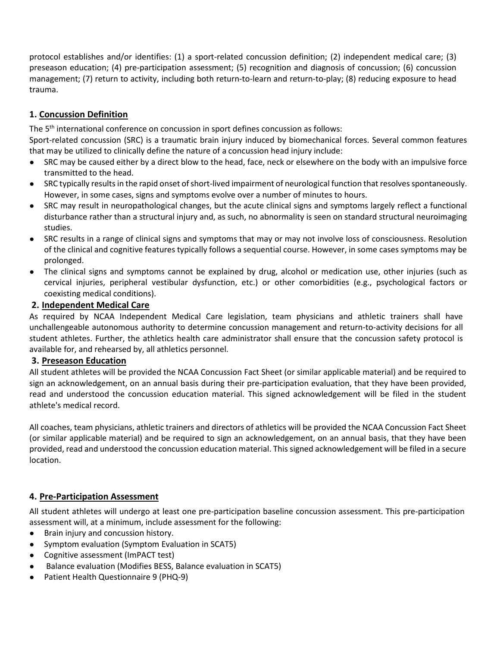protocol establishes and/or identifies: (1) a sport-related concussion definition; (2) independent medical care; (3) preseason education; (4) pre-participation assessment; (5) recognition and diagnosis of concussion; (6) concussion management; (7) return to activity, including both return-to-learn and return-to-play; (8) reducing exposure to head trauma.

### **1. Concussion Definition**

The 5th international conference on concussion in sport defines concussion as follows:

Sport-related concussion (SRC) is a traumatic brain injury induced by biomechanical forces. Several common features that may be utilized to clinically define the nature of a concussion head injury include:

- SRC may be caused either by a direct blow to the head, face, neck or elsewhere on the body with an impulsive force transmitted to the head.
- SRC typically results in the rapid onset of short-lived impairment of neurological function that resolves spontaneously. However, in some cases, signs and symptoms evolve over a number of minutes to hours.
- SRC may result in neuropathological changes, but the acute clinical signs and symptoms largely reflect a functional disturbance rather than a structural injury and, as such, no abnormality is seen on standard structural neuroimaging studies.
- SRC results in a range of clinical signs and symptoms that may or may not involve loss of consciousness. Resolution of the clinical and cognitive features typically follows a sequential course. However, in some cases symptoms may be prolonged.
- The clinical signs and symptoms cannot be explained by drug, alcohol or medication use, other injuries (such as cervical injuries, peripheral vestibular dysfunction, etc.) or other comorbidities (e.g., psychological factors or coexisting medical conditions).

#### **2. Independent Medical Care**

As required by NCAA Independent Medical Care legislation, team physicians and athletic trainers shall have unchallengeable autonomous authority to determine concussion management and return-to-activity decisions for all student athletes. Further, the athletics health care administrator shall ensure that the concussion safety protocol is available for, and rehearsed by, all athletics personnel.

#### **3. Preseason Education**

All student athletes will be provided the NCAA Concussion Fact Sheet (or similar applicable material) and be required to sign an acknowledgement, on an annual basis during their pre-participation evaluation, that they have been provided, read and understood the concussion education material. This signed acknowledgement will be filed in the student athlete's medical record.

All coaches, team physicians, athletic trainers and directors of athletics will be provided the NCAA Concussion Fact Sheet (or similar applicable material) and be required to sign an acknowledgement, on an annual basis, that they have been provided, read and understood the concussion education material. This signed acknowledgement will be filed in a secure location.

#### **4. Pre-Participation Assessment**

All student athletes will undergo at least one pre-participation baseline concussion assessment. This pre-participation assessment will, at a minimum, include assessment for the following:

- Brain injury and concussion history.
- Symptom evaluation (Symptom Evaluation in SCAT5)
- Cognitive assessment (ImPACT test)
- Balance evaluation (Modifies BESS, Balance evaluation in SCAT5)
- Patient Health Questionnaire 9 (PHQ-9)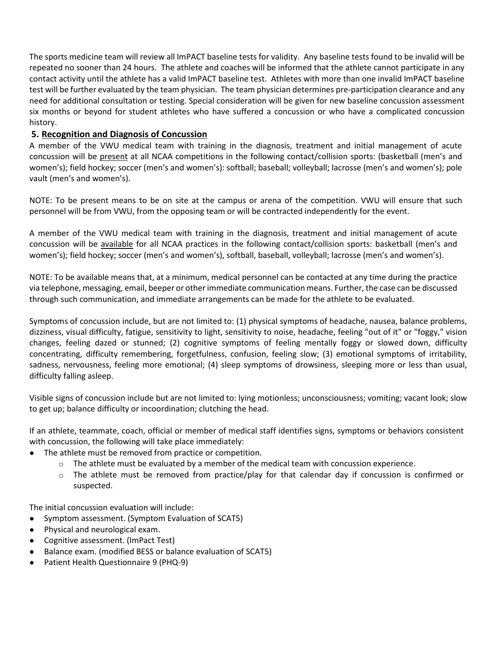The sports medicine team will review all ImPACT baseline tests for validity. Any baseline tests found to be invalid will be repeated no sooner than 24 hours. The athlete and coaches will be informed that the athlete cannot participate in any contact activity until the athlete has a valid ImPACT baseline test. Athletes with more than one invalid ImPACT baseline test will be further evaluated by the team physician. The team physician determines pre-participation clearance and any need for additional consultation or testing. Special consideration will be given for new baseline concussion assessment six months or beyond for student athletes who have suffered a concussion or who have a complicated concussion history.

#### **5. Recognition and Diagnosis of Concussion**

A member of the VWU medical team with training in the diagnosis, treatment and initial management of acute concussion will be present at all NCAA competitions in the following contact/collision sports: (basketball (men's and women's); field hockey; soccer (men's and women's): softball; baseball; volleyball; lacrosse (men's and women's); pole vault (men's and women's).

NOTE: To be present means to be on site at the campus or arena of the competition. VWU will ensure that such personnel will be from VWU, from the opposing team or will be contracted independently for the event.

A member of the VWU medical team with training in the diagnosis, treatment and initial management of acute concussion will be available for all NCAA practices in the following contact/collision sports: basketball (men's and women's); field hockey; soccer (men's and women's), softball, baseball, volleyball; lacrosse (men's and women's).

NOTE: To be available means that, at a minimum, medical personnel can be contacted at any time during the practice via telephone, messaging, email, beeper or other immediate communication means. Further, the case can be discussed through such communication, and immediate arrangements can be made for the athlete to be evaluated.

Symptoms of concussion include, but are not limited to: (1) physical symptoms of headache, nausea, balance problems, dizziness, visual difficulty, fatigue, sensitivity to light, sensitivity to noise, headache, feeling "out of it" or "foggy," vision changes, feeling dazed or stunned; (2) cognitive symptoms of feeling mentally foggy or slowed down, difficulty concentrating, difficulty remembering, forgetfulness, confusion, feeling slow; (3) emotional symptoms of irritability, sadness, nervousness, feeling more emotional; (4) sleep symptoms of drowsiness, sleeping more or less than usual, difficulty falling asleep.

Visible signs of concussion include but are not limited to: lying motionless; unconsciousness; vomiting; vacant look; slow to get up; balance difficulty or incoordination; clutching the head.

If an athlete, teammate, coach, official or member of medical staff identifies signs, symptoms or behaviors consistent with concussion, the following will take place immediately:

- The athlete must be removed from practice or competition.
	- $\circ$  The athlete must be evaluated by a member of the medical team with concussion experience.
	- $\circ$  The athlete must be removed from practice/play for that calendar day if concussion is confirmed or suspected.

The initial concussion evaluation will include:

- Symptom assessment. (Symptom Evaluation of SCAT5)
- Physical and neurological exam.
- Cognitive assessment. (ImPact Test)
- Balance exam. (modified BESS or balance evaluation of SCAT5)
- Patient Health Questionnaire 9 (PHQ-9)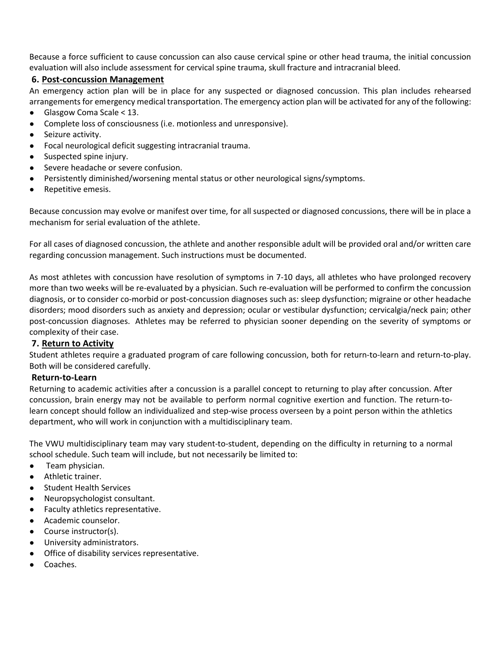Because a force sufficient to cause concussion can also cause cervical spine or other head trauma, the initial concussion evaluation will also include assessment for cervical spine trauma, skull fracture and intracranial bleed.

#### **6. Post-concussion Management**

An emergency action plan will be in place for any suspected or diagnosed concussion. This plan includes rehearsed arrangements for emergency medical transportation. The emergency action plan will be activated for any of the following:

- Glasgow Coma Scale < 13.
- Complete loss of consciousness (i.e. motionless and unresponsive).
- Seizure activity.
- Focal neurological deficit suggesting intracranial trauma.
- Suspected spine injury.
- Severe headache or severe confusion.
- Persistently diminished/worsening mental status or other neurological signs/symptoms.
- Repetitive emesis.

Because concussion may evolve or manifest over time, for all suspected or diagnosed concussions, there will be in place a mechanism for serial evaluation of the athlete.

For all cases of diagnosed concussion, the athlete and another responsible adult will be provided oral and/or written care regarding concussion management. Such instructions must be documented.

As most athletes with concussion have resolution of symptoms in 7-10 days, all athletes who have prolonged recovery more than two weeks will be re-evaluated by a physician. Such re-evaluation will be performed to confirm the concussion diagnosis, or to consider co-morbid or post-concussion diagnoses such as: sleep dysfunction; migraine or other headache disorders; mood disorders such as anxiety and depression; ocular or vestibular dysfunction; cervicalgia/neck pain; other post-concussion diagnoses. Athletes may be referred to physician sooner depending on the severity of symptoms or complexity of their case.

#### **7. Return to Activity**

Student athletes require a graduated program of care following concussion, both for return-to-learn and return-to-play. Both will be considered carefully.

#### **Return-to-Learn**

Returning to academic activities after a concussion is a parallel concept to returning to play after concussion. After concussion, brain energy may not be available to perform normal cognitive exertion and function. The return-tolearn concept should follow an individualized and step-wise process overseen by a point person within the athletics department, who will work in conjunction with a multidisciplinary team.

The VWU multidisciplinary team may vary student-to-student, depending on the difficulty in returning to a normal school schedule. Such team will include, but not necessarily be limited to:

- Team physician.
- Athletic trainer.
- **Student Health Services**
- Neuropsychologist consultant.
- Faculty athletics representative.
- Academic counselor.
- Course instructor(s).
- University administrators.
- Office of disability services representative.
- Coaches.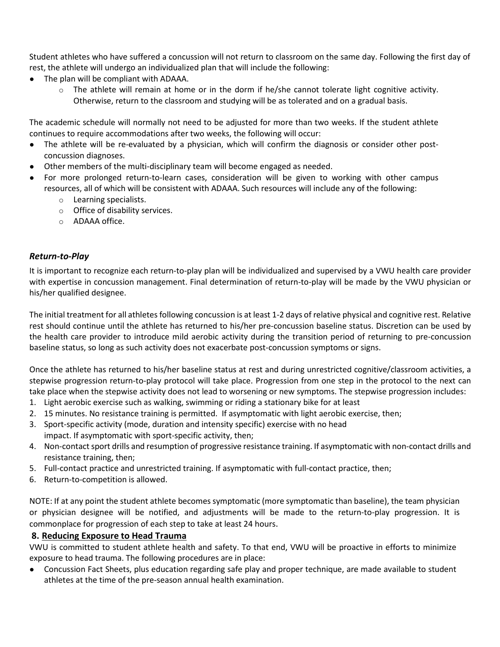Student athletes who have suffered a concussion will not return to classroom on the same day. Following the first day of rest, the athlete will undergo an individualized plan that will include the following:

- The plan will be compliant with ADAAA.
	- $\circ$  The athlete will remain at home or in the dorm if he/she cannot tolerate light cognitive activity. Otherwise, return to the classroom and studying will be as tolerated and on a gradual basis.

The academic schedule will normally not need to be adjusted for more than two weeks. If the student athlete continues to require accommodations after two weeks, the following will occur:

- The athlete will be re-evaluated by a physician, which will confirm the diagnosis or consider other postconcussion diagnoses.
- Other members of the multi-disciplinary team will become engaged as needed.
- For more prolonged return-to-learn cases, consideration will be given to working with other campus resources, all of which will be consistent with ADAAA. Such resources will include any of the following:
	- o Learning specialists.
	- o Office of disability services.
	- o ADAAA office.

#### *Return-to-Play*

It is important to recognize each return-to-play plan will be individualized and supervised by a VWU health care provider with expertise in concussion management. Final determination of return-to-play will be made by the VWU physician or his/her qualified designee.

The initial treatment for all athletes following concussion is at least 1-2 days of relative physical and cognitive rest. Relative rest should continue until the athlete has returned to his/her pre-concussion baseline status. Discretion can be used by the health care provider to introduce mild aerobic activity during the transition period of returning to pre-concussion baseline status, so long as such activity does not exacerbate post-concussion symptoms or signs.

Once the athlete has returned to his/her baseline status at rest and during unrestricted cognitive/classroom activities, a stepwise progression return-to-play protocol will take place. Progression from one step in the protocol to the next can take place when the stepwise activity does not lead to worsening or new symptoms. The stepwise progression includes:

- 1. Light aerobic exercise such as walking, swimming or riding a stationary bike for at least
- 2. 15 minutes. No resistance training is permitted. If asymptomatic with light aerobic exercise, then;
- 3. Sport-specific activity (mode, duration and intensity specific) exercise with no head impact. If asymptomatic with sport-specific activity, then;
- 4. Non-contact sport drills and resumption of progressive resistance training. If asymptomatic with non-contact drills and resistance training, then;
- 5. Full-contact practice and unrestricted training. If asymptomatic with full-contact practice, then;
- 6. Return-to-competition is allowed.

NOTE: If at any point the student athlete becomes symptomatic (more symptomatic than baseline), the team physician or physician designee will be notified, and adjustments will be made to the return-to-play progression. It is commonplace for progression of each step to take at least 24 hours.

#### **8. Reducing Exposure to Head Trauma**

VWU is committed to student athlete health and safety. To that end, VWU will be proactive in efforts to minimize exposure to head trauma. The following procedures are in place:

● Concussion Fact Sheets, plus education regarding safe play and proper technique, are made available to student athletes at the time of the pre-season annual health examination.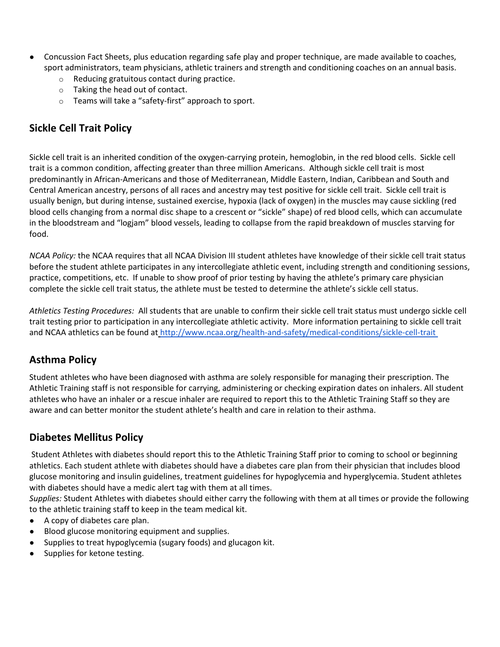- Concussion Fact Sheets, plus education regarding safe play and proper technique, are made available to coaches, sport administrators, team physicians, athletic trainers and strength and conditioning coaches on an annual basis.
	- o Reducing gratuitous contact during practice.
	- o Taking the head out of contact.
	- o Teams will take a "safety-first" approach to sport.

### **Sickle Cell Trait Policy**

Sickle cell trait is an inherited condition of the oxygen-carrying protein, hemoglobin, in the red blood cells. Sickle cell trait is a common condition, affecting greater than three million Americans. Although sickle cell trait is most predominantly in African-Americans and those of Mediterranean, Middle Eastern, Indian, Caribbean and South and Central American ancestry, persons of all races and ancestry may test positive for sickle cell trait. Sickle cell trait is usually benign, but during intense, sustained exercise, hypoxia (lack of oxygen) in the muscles may cause sickling (red blood cells changing from a normal disc shape to a crescent or "sickle" shape) of red blood cells, which can accumulate in the bloodstream and "logjam" blood vessels, leading to collapse from the rapid breakdown of muscles starving for food.

*NCAA Policy:* the NCAA requires that all NCAA Division III student athletes have knowledge of their sickle cell trait status before the student athlete participates in any intercollegiate athletic event, including strength and conditioning sessions, practice, competitions, etc. If unable to show proof of prior testing by having the athlete's primary care physician complete the sickle cell trait status, the athlete must be tested to determine the athlete's sickle cell status.

*Athletics Testing Procedures:* All students that are unable to confirm their sickle cell trait status must undergo sickle cell trait testing prior to participation in any intercollegiate athletic activity. More information pertaining to sickle cell trait and NCAA athletics can be found a[t](about:blank) [http://www.ncaa.org/health-and-safety/medical-conditions/sickle-cell-trait](about:blank)

### **Asthma Policy**

Student athletes who have been diagnosed with asthma are solely responsible for managing their prescription. The Athletic Training staff is not responsible for carrying, administering or checking expiration dates on inhalers. All student athletes who have an inhaler or a rescue inhaler are required to report this to the Athletic Training Staff so they are aware and can better monitor the student athlete's health and care in relation to their asthma.

### **Diabetes Mellitus Policy**

Student Athletes with diabetes should report this to the Athletic Training Staff prior to coming to school or beginning athletics. Each student athlete with diabetes should have a diabetes care plan from their physician that includes blood glucose monitoring and insulin guidelines, treatment guidelines for hypoglycemia and hyperglycemia. Student athletes with diabetes should have a medic alert tag with them at all times.

*Supplies:* Student Athletes with diabetes should either carry the following with them at all times or provide the following to the athletic training staff to keep in the team medical kit.

- A copy of diabetes care plan.
- Blood glucose monitoring equipment and supplies.
- Supplies to treat hypoglycemia (sugary foods) and glucagon kit.
- Supplies for ketone testing.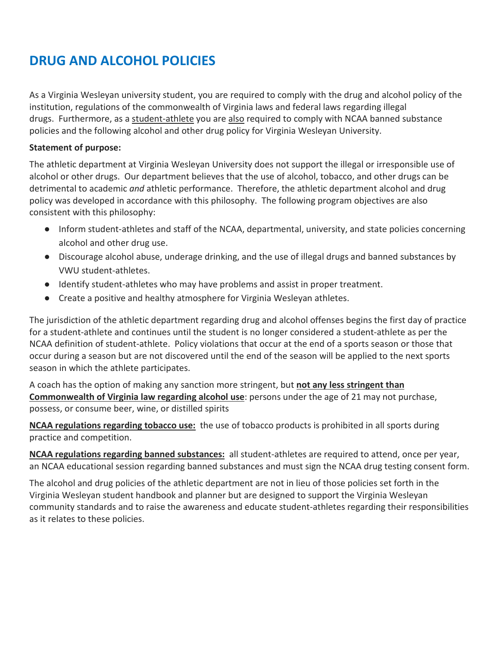## **DRUG AND ALCOHOL POLICIES**

As a Virginia Wesleyan university student, you are required to comply with the drug and alcohol policy of the institution, regulations of the commonwealth of Virginia laws and federal laws regarding illegal drugs. Furthermore, as a student-athlete you are also required to comply with NCAA banned substance policies and the following alcohol and other drug policy for Virginia Wesleyan University.

#### **Statement of purpose:**

The athletic department at Virginia Wesleyan University does not support the illegal or irresponsible use of alcohol or other drugs. Our department believes that the use of alcohol, tobacco, and other drugs can be detrimental to academic *and* athletic performance. Therefore, the athletic department alcohol and drug policy was developed in accordance with this philosophy. The following program objectives are also consistent with this philosophy:

- Inform student-athletes and staff of the NCAA, departmental, university, and state policies concerning alcohol and other drug use.
- Discourage alcohol abuse, underage drinking, and the use of illegal drugs and banned substances by VWU student-athletes.
- Identify student-athletes who may have problems and assist in proper treatment.
- Create a positive and healthy atmosphere for Virginia Wesleyan athletes.

The jurisdiction of the athletic department regarding drug and alcohol offenses begins the first day of practice for a student-athlete and continues until the student is no longer considered a student-athlete as per the NCAA definition of student-athlete. Policy violations that occur at the end of a sports season or those that occur during a season but are not discovered until the end of the season will be applied to the next sports season in which the athlete participates.

A coach has the option of making any sanction more stringent, but **not any less stringent than Commonwealth of Virginia law regarding alcohol use**: persons under the age of 21 may not purchase, possess, or consume beer, wine, or distilled spirits

**NCAA regulations regarding tobacco use:** the use of tobacco products is prohibited in all sports during practice and competition.

**NCAA regulations regarding banned substances:** all student-athletes are required to attend, once per year, an NCAA educational session regarding banned substances and must sign the NCAA drug testing consent form.

The alcohol and drug policies of the athletic department are not in lieu of those policies set forth in the Virginia Wesleyan student handbook and planner but are designed to support the Virginia Wesleyan community standards and to raise the awareness and educate student-athletes regarding their responsibilities as it relates to these policies.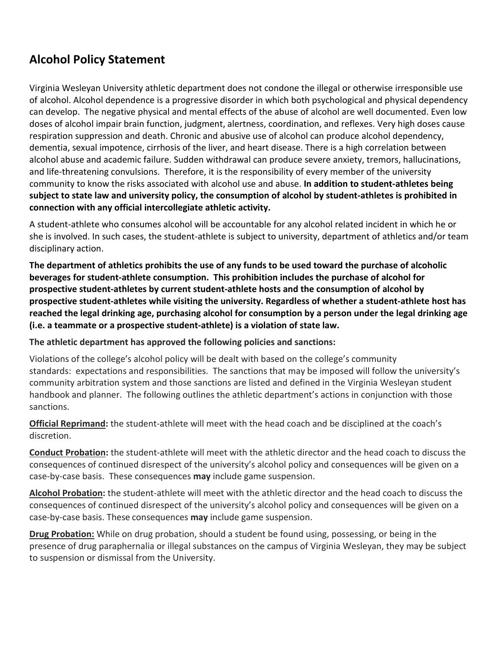## **Alcohol Policy Statement**

Virginia Wesleyan University athletic department does not condone the illegal or otherwise irresponsible use of alcohol. Alcohol dependence is a progressive disorder in which both psychological and physical dependency can develop. The negative physical and mental effects of the abuse of alcohol are well documented. Even low doses of alcohol impair brain function, judgment, alertness, coordination, and reflexes. Very high doses cause respiration suppression and death. Chronic and abusive use of alcohol can produce alcohol dependency, dementia, sexual impotence, cirrhosis of the liver, and heart disease. There is a high correlation between alcohol abuse and academic failure. Sudden withdrawal can produce severe anxiety, tremors, hallucinations, and life-threatening convulsions.Therefore, it is the responsibility of every member of the university community to know the risks associated with alcohol use and abuse. **In addition to student-athletes being subject to state law and university policy, the consumption of alcohol by student-athletes is prohibited in connection with any official intercollegiate athletic activity.**

A student-athlete who consumes alcohol will be accountable for any alcohol related incident in which he or she is involved. In such cases, the student-athlete is subject to university, department of athletics and/or team disciplinary action.

**The department of athletics prohibits the use of any funds to be used toward the purchase of alcoholic beverages for student-athlete consumption. This prohibition includes the purchase of alcohol for prospective student-athletes by current student-athlete hosts and the consumption of alcohol by prospective student-athletes while visiting the university. Regardless of whether a student-athlete host has reached the legal drinking age, purchasing alcohol for consumption by a person under the legal drinking age (i.e. a teammate or a prospective student-athlete) is a violation of state law.**

**The athletic department has approved the following policies and sanctions:**

Violations of the college's alcohol policy will be dealt with based on the college's community standards: expectations and responsibilities. The sanctions that may be imposed will follow the university's community arbitration system and those sanctions are listed and defined in the Virginia Wesleyan student handbook and planner. The following outlines the athletic department's actions in conjunction with those sanctions.

**Official Reprimand:** the student-athlete will meet with the head coach and be disciplined at the coach's discretion.

**Conduct Probation:** the student-athlete will meet with the athletic director and the head coach to discuss the consequences of continued disrespect of the university's alcohol policy and consequences will be given on a case-by-case basis. These consequences **may** include game suspension.

**Alcohol Probation:** the student-athlete will meet with the athletic director and the head coach to discuss the consequences of continued disrespect of the university's alcohol policy and consequences will be given on a case-by-case basis. These consequences **may** include game suspension.

**Drug Probation:** While on drug probation, should a student be found using, possessing, or being in the presence of drug paraphernalia or illegal substances on the campus of Virginia Wesleyan, they may be subject to suspension or dismissal from the University.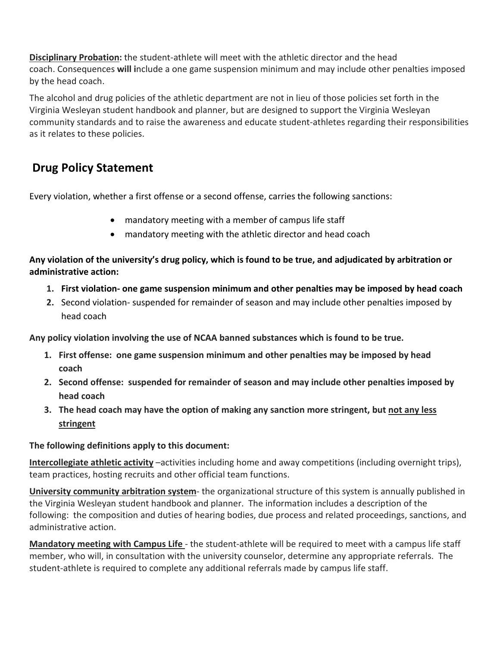**Disciplinary Probation:** the student-athlete will meet with the athletic director and the head coach. Consequences **will i**nclude a one game suspension minimum and may include other penalties imposed by the head coach.

The alcohol and drug policies of the athletic department are not in lieu of those policies set forth in the Virginia Wesleyan student handbook and planner, but are designed to support the Virginia Wesleyan community standards and to raise the awareness and educate student-athletes regarding their responsibilities as it relates to these policies.

## **Drug Policy Statement**

Every violation, whether a first offense or a second offense, carries the following sanctions:

- mandatory meeting with a member of campus life staff
- mandatory meeting with the athletic director and head coach

#### **Any violation of the university's drug policy, which is found to be true, and adjudicated by arbitration or administrative action:**

- **1. First violation- one game suspension minimum and other penalties may be imposed by head coach**
- **2.** Second violation- suspended for remainder of season and may include other penalties imposed by head coach

**Any policy violation involving the use of NCAA banned substances which is found to be true.**

- **1. First offense: one game suspension minimum and other penalties may be imposed by head coach**
- **2. Second offense: suspended for remainder of season and may include other penalties imposed by head coach**
- **3. The head coach may have the option of making any sanction more stringent, but not any less stringent**

### **The following definitions apply to this document:**

**Intercollegiate athletic activity** –activities including home and away competitions (including overnight trips), team practices, hosting recruits and other official team functions.

**University community arbitration system**- the organizational structure of this system is annually published in the Virginia Wesleyan student handbook and planner. The information includes a description of the following: the composition and duties of hearing bodies, due process and related proceedings, sanctions, and administrative action.

**Mandatory meeting with Campus Life** - the student-athlete will be required to meet with a campus life staff member, who will, in consultation with the university counselor, determine any appropriate referrals. The student-athlete is required to complete any additional referrals made by campus life staff.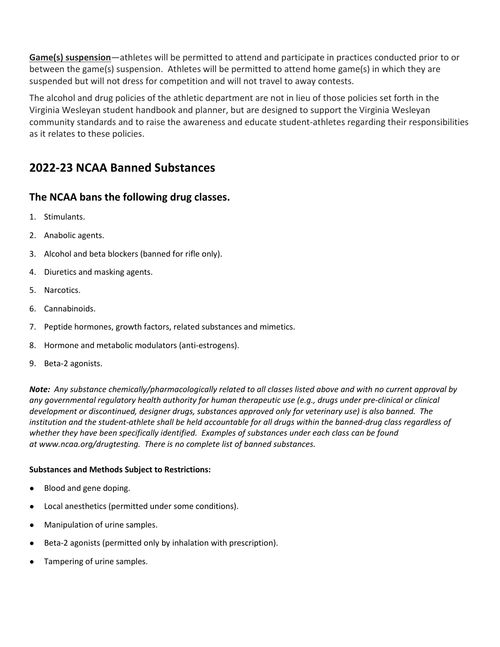**Game(s) suspension**—athletes will be permitted to attend and participate in practices conducted prior to or between the game(s) suspension. Athletes will be permitted to attend home game(s) in which they are suspended but will not dress for competition and will not travel to away contests.

The alcohol and drug policies of the athletic department are not in lieu of those policies set forth in the Virginia Wesleyan student handbook and planner, but are designed to support the Virginia Wesleyan community standards and to raise the awareness and educate student-athletes regarding their responsibilities as it relates to these policies.

## **2022-23 NCAA Banned Substances**

### **The NCAA bans the following drug classes.**

- 1. Stimulants.
- 2. Anabolic agents.
- 3. Alcohol and beta blockers (banned for rifle only).
- 4. Diuretics and masking agents.
- 5. Narcotics.
- 6. Cannabinoids.
- 7. Peptide hormones, growth factors, related substances and mimetics.
- 8. Hormone and metabolic modulators (anti-estrogens).
- 9. Beta-2 agonists.

*Note: Any substance chemically/pharmacologically related to all classes listed above and with no current approval by any governmental regulatory health authority for human therapeutic use (e.g., drugs under pre-clinical or clinical development or discontinued, designer drugs, substances approved only for veterinary use) is also banned. The institution and the student-athlete shall be held accountable for all drugs within the banned-drug class regardless of whether they have been specifically identified. Examples of substances under each class can be found at [www.ncaa.org/drugtesting.](http://www.ncaa.org/drugtesting.%C2%A0) There is no complete list of banned substances.*

#### **Substances and Methods Subject to Restrictions:**

- Blood and gene doping.
- Local anesthetics (permitted under some conditions).
- Manipulation of urine samples.
- Beta-2 agonists (permitted only by inhalation with prescription).
- Tampering of urine samples.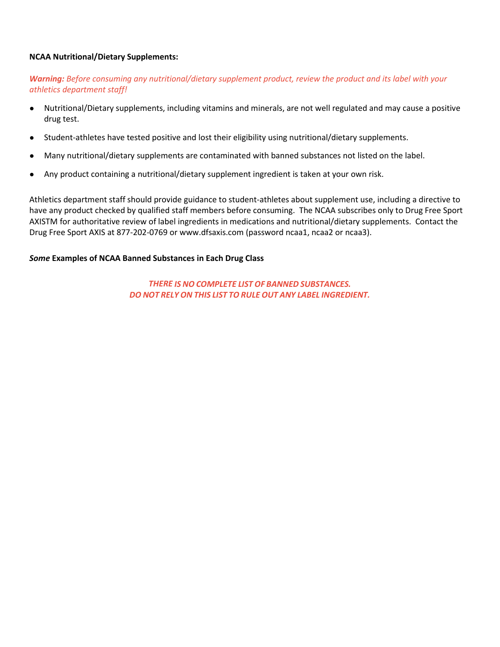#### **NCAA Nutritional/Dietary Supplements:**

#### *Warning: Before consuming any nutritional/dietary supplement product, review the product and its label with your athletics department staff!*

- Nutritional/Dietary supplements, including vitamins and minerals, are not well regulated and may cause a positive drug test.
- Student-athletes have tested positive and lost their eligibility using nutritional/dietary supplements.
- Many nutritional/dietary supplements are contaminated with banned substances not listed on the label.
- Any product containing a nutritional/dietary supplement ingredient is taken at your own risk.

Athletics department staff should provide guidance to student-athletes about supplement use, including a directive to have any product checked by qualified staff members before consuming. The NCAA subscribes only to Drug Free Sport AXISTM for authoritative review of label ingredients in medications and nutritional/dietary supplements. Contact the Drug Free Sport AXIS at 877-202-0769 or [www.dfsaxis.com](http://www.dfsaxis.com/) (password ncaa1, ncaa2 or ncaa3).

#### *Some* **Examples of NCAA Banned Substances in Each Drug Class**

*THERE IS NO COMPLETE LIST OF BANNED SUBSTANCES. DO NOT RELY ON THIS LIST TO RULE OUT ANY LABEL INGREDIENT.*